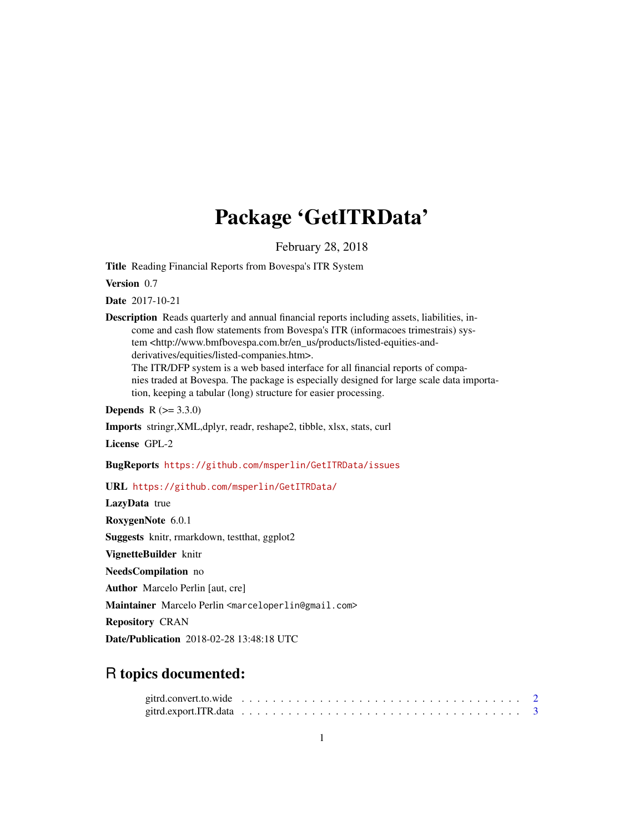# Package 'GetITRData'

February 28, 2018

Title Reading Financial Reports from Bovespa's ITR System

Version 0.7

Date 2017-10-21

Description Reads quarterly and annual financial reports including assets, liabilities, income and cash flow statements from Bovespa's ITR (informacoes trimestrais) system <http://www.bmfbovespa.com.br/en\_us/products/listed-equities-andderivatives/equities/listed-companies.htm>. The ITR/DFP system is a web based interface for all financial reports of compa-

nies traded at Bovespa. The package is especially designed for large scale data importation, keeping a tabular (long) structure for easier processing.

**Depends** R  $(>= 3.3.0)$ 

Imports stringr,XML,dplyr, readr, reshape2, tibble, xlsx, stats, curl

License GPL-2

BugReports <https://github.com/msperlin/GetITRData/issues>

URL <https://github.com/msperlin/GetITRData/>

LazyData true RoxygenNote 6.0.1 Suggests knitr, rmarkdown, testthat, ggplot2 VignetteBuilder knitr NeedsCompilation no Author Marcelo Perlin [aut, cre] Maintainer Marcelo Perlin <marceloperlin@gmail.com> Repository CRAN Date/Publication 2018-02-28 13:48:18 UTC

## R topics documented: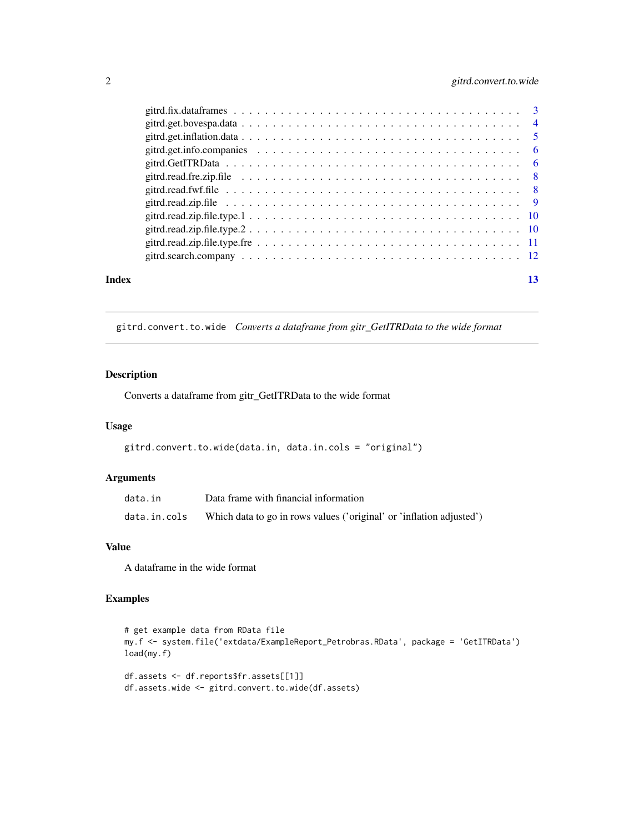### <span id="page-1-0"></span>2 gitrd.convert.to.wide

| Index | 13 |
|-------|----|

gitrd.convert.to.wide *Converts a dataframe from gitr\_GetITRData to the wide format*

#### Description

Converts a dataframe from gitr\_GetITRData to the wide format

#### Usage

```
gitrd.convert.to.wide(data.in, data.in.cols = "original")
```
#### Arguments

| data.in      | Data frame with financial information                                |
|--------------|----------------------------------------------------------------------|
| data.in.cols | Which data to go in rows values ('original' or 'inflation adjusted') |

#### Value

A dataframe in the wide format

#### Examples

```
# get example data from RData file
my.f <- system.file('extdata/ExampleReport_Petrobras.RData', package = 'GetITRData')
load(my.f)
df.assets <- df.reports$fr.assets[[1]]
df.assets.wide <- gitrd.convert.to.wide(df.assets)
```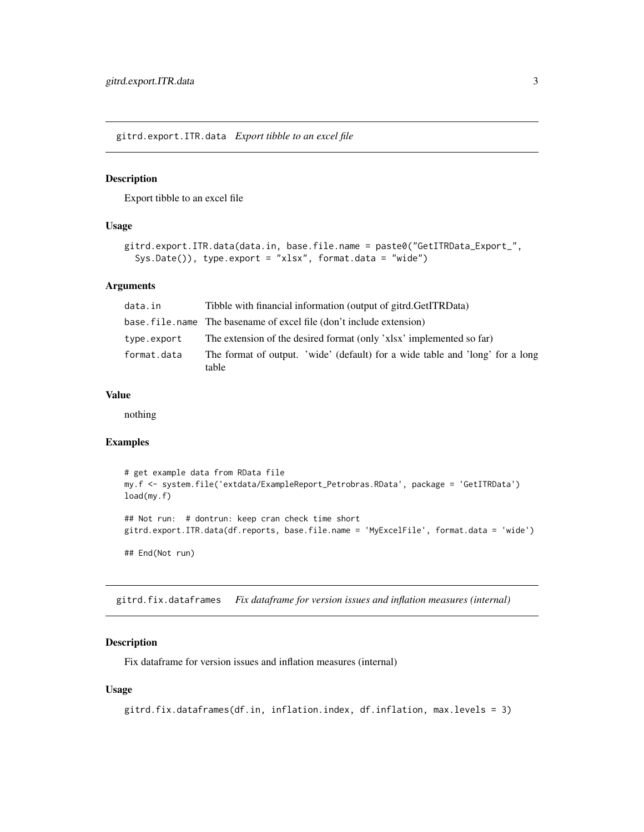<span id="page-2-0"></span>gitrd.export.ITR.data *Export tibble to an excel file*

#### Description

Export tibble to an excel file

#### Usage

```
gitrd.export.ITR.data(data.in, base.file.name = paste0("GetITRData_Export_",
  Sys.Date()), type.export = "xlsx", format.data = "wide")
```
#### **Arguments**

| data.in     | Tibble with financial information (output of gitrd.GetITRData)                         |
|-------------|----------------------------------------------------------------------------------------|
|             | base. file. name The basename of excel file (don't include extension)                  |
| type.export | The extension of the desired format (only 'xlsx' implemented so far)                   |
| format.data | The format of output. 'wide' (default) for a wide table and 'long' for a long<br>table |

#### Value

nothing

#### Examples

```
# get example data from RData file
my.f <- system.file('extdata/ExampleReport_Petrobras.RData', package = 'GetITRData')
load(my.f)
## Not run: # dontrun: keep cran check time short
gitrd.export.ITR.data(df.reports, base.file.name = 'MyExcelFile', format.data = 'wide')
## End(Not run)
```
gitrd.fix.dataframes *Fix dataframe for version issues and inflation measures (internal)*

#### Description

Fix dataframe for version issues and inflation measures (internal)

#### Usage

```
gitrd.fix.dataframes(df.in, inflation.index, df.inflation, max.levels = 3)
```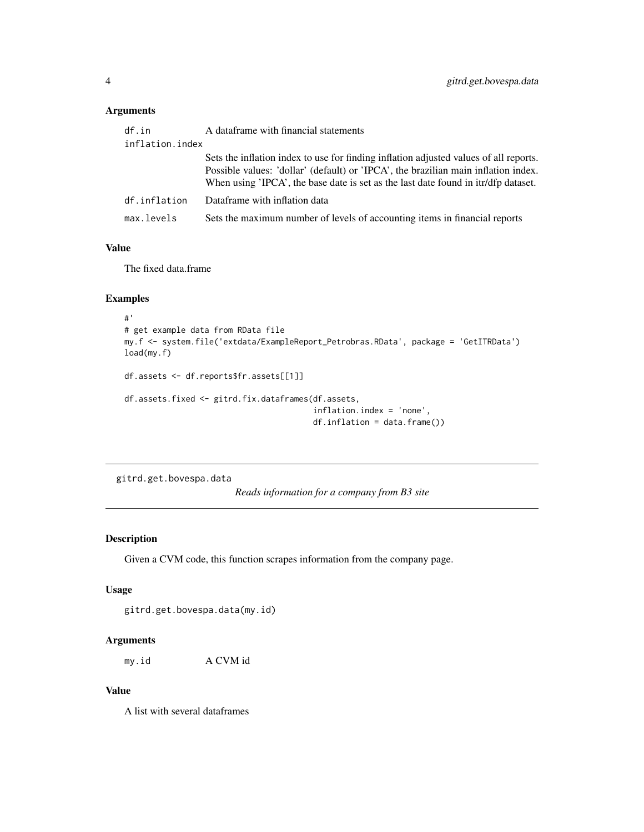#### <span id="page-3-0"></span>Arguments

| df.in           | A dataframe with financial statements                                                                                                                                                                                                                             |
|-----------------|-------------------------------------------------------------------------------------------------------------------------------------------------------------------------------------------------------------------------------------------------------------------|
| inflation.index |                                                                                                                                                                                                                                                                   |
|                 | Sets the inflation index to use for finding inflation adjusted values of all reports.<br>Possible values: 'dollar' (default) or 'IPCA', the brazilian main inflation index.<br>When using 'IPCA', the base date is set as the last date found in itr/dfp dataset. |
| df.inflation    | Dataframe with inflation data                                                                                                                                                                                                                                     |
| max.levels      | Sets the maximum number of levels of accounting items in financial reports                                                                                                                                                                                        |
|                 |                                                                                                                                                                                                                                                                   |

### Value

The fixed data.frame

#### Examples

```
#'
# get example data from RData file
my.f <- system.file('extdata/ExampleReport_Petrobras.RData', package = 'GetITRData')
load(my.f)
df.assets <- df.reports$fr.assets[[1]]
df.assets.fixed <- gitrd.fix.dataframes(df.assets,
                                        inflation.index = 'none',
                                        df.inflation = data.frame())
```
gitrd.get.bovespa.data

*Reads information for a company from B3 site*

#### Description

Given a CVM code, this function scrapes information from the company page.

#### Usage

gitrd.get.bovespa.data(my.id)

#### Arguments

my.id A CVM id

#### Value

A list with several dataframes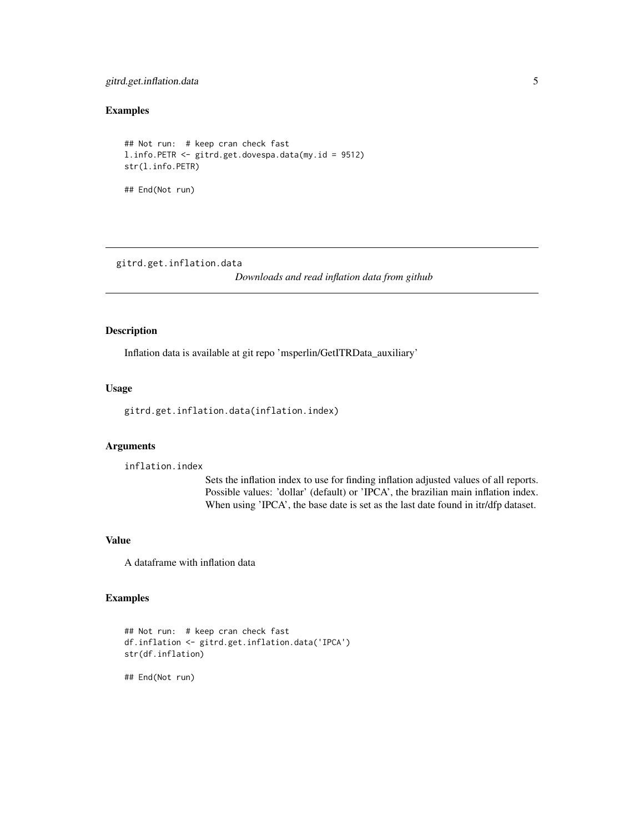#### <span id="page-4-0"></span>gitrd.get.inflation.data 5

#### Examples

```
## Not run: # keep cran check fast
l.info.PETR <- gitrd.get.dovespa.data(my.id = 9512)
str(l.info.PETR)
## End(Not run)
```
gitrd.get.inflation.data

*Downloads and read inflation data from github*

#### Description

Inflation data is available at git repo 'msperlin/GetITRData\_auxiliary'

#### Usage

gitrd.get.inflation.data(inflation.index)

#### Arguments

inflation.index

Sets the inflation index to use for finding inflation adjusted values of all reports. Possible values: 'dollar' (default) or 'IPCA', the brazilian main inflation index. When using 'IPCA', the base date is set as the last date found in itr/dfp dataset.

#### Value

A dataframe with inflation data

#### Examples

```
## Not run: # keep cran check fast
df.inflation <- gitrd.get.inflation.data('IPCA')
str(df.inflation)
```
## End(Not run)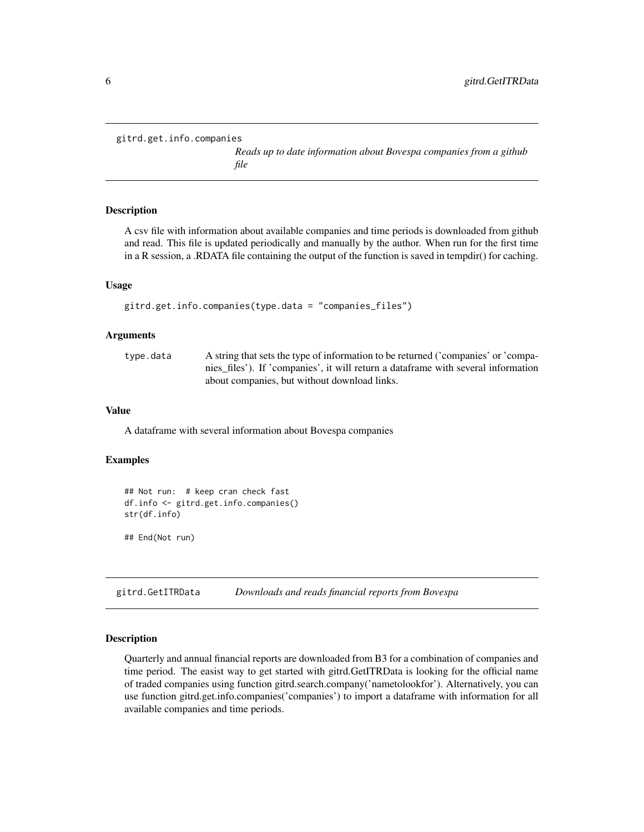```
gitrd.get.info.companies
```
*Reads up to date information about Bovespa companies from a github file*

#### Description

A csv file with information about available companies and time periods is downloaded from github and read. This file is updated periodically and manually by the author. When run for the first time in a R session, a .RDATA file containing the output of the function is saved in tempdir() for caching.

#### Usage

```
gitrd.get.info.companies(type.data = "companies_files")
```
#### Arguments

| type.data | A string that sets the type of information to be returned ('companies' or 'compa- |
|-----------|-----------------------------------------------------------------------------------|
|           | nies files'). If 'companies', it will return a dataframe with several information |
|           | about companies, but without download links.                                      |

#### Value

A dataframe with several information about Bovespa companies

#### Examples

```
## Not run: # keep cran check fast
df.info <- gitrd.get.info.companies()
str(df.info)
```
## End(Not run)

gitrd.GetITRData *Downloads and reads financial reports from Bovespa*

#### Description

Quarterly and annual financial reports are downloaded from B3 for a combination of companies and time period. The easist way to get started with gitrd.GetITRData is looking for the official name of traded companies using function gitrd.search.company('nametolookfor'). Alternatively, you can use function gitrd.get.info.companies('companies') to import a dataframe with information for all available companies and time periods.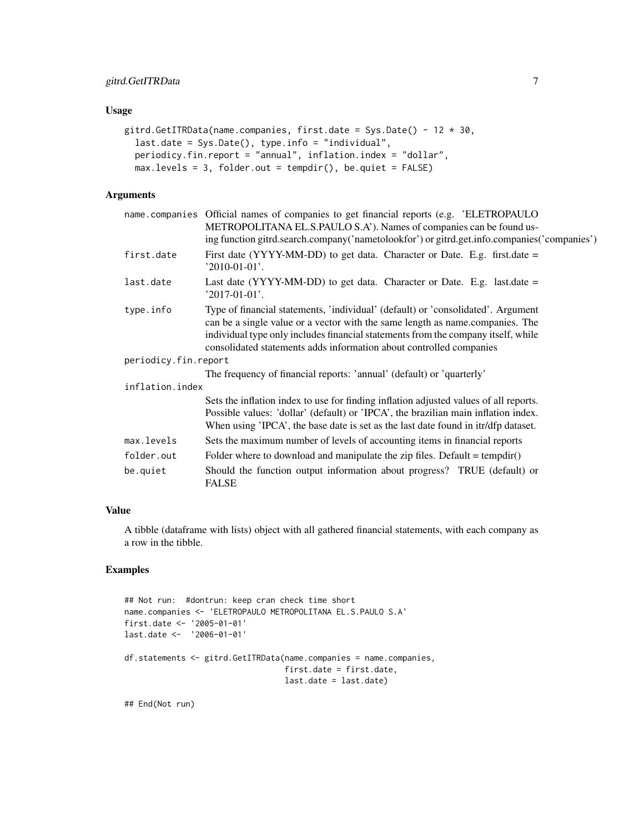#### gitrd.GetITRData 7

#### Usage

```
gitrd.GetITRData(name.companies, first.date = Sys.Date() - 12 \times 30,
  last.date = Sys.Date(), type.info = "individual",
 periodicy.fin.report = "annual", inflation.index = "dollar",
  max.levels = 3, folder.out = tempdir(), be.quiet = FALSE)
```
#### Arguments

|                      | name.companies Official names of companies to get financial reports (e.g. 'ELETROPAULO<br>METROPOLITANA EL.S.PAULO S.A'). Names of companies can be found us-                                                                                                                                                                 |  |  |  |  |  |
|----------------------|-------------------------------------------------------------------------------------------------------------------------------------------------------------------------------------------------------------------------------------------------------------------------------------------------------------------------------|--|--|--|--|--|
|                      | ing function gitrd.search.company('nametolookfor') or gitrd.get.info.companies('companies')                                                                                                                                                                                                                                   |  |  |  |  |  |
| first.date           | First date (YYYY-MM-DD) to get data. Character or Date. E.g. first.date =<br>$'2010-01-01'.$                                                                                                                                                                                                                                  |  |  |  |  |  |
| last.date            | Last date (YYYY-MM-DD) to get data. Character or Date. E.g. last.date $=$<br>$'2017-01-01'.$                                                                                                                                                                                                                                  |  |  |  |  |  |
| type.info            | Type of financial statements, 'individual' (default) or 'consolidated'. Argument<br>can be a single value or a vector with the same length as name.companies. The<br>individual type only includes financial statements from the company itself, while<br>consolidated statements adds information about controlled companies |  |  |  |  |  |
| periodicy.fin.report |                                                                                                                                                                                                                                                                                                                               |  |  |  |  |  |
|                      | The frequency of financial reports: 'annual' (default) or 'quarterly'                                                                                                                                                                                                                                                         |  |  |  |  |  |
| inflation.index      |                                                                                                                                                                                                                                                                                                                               |  |  |  |  |  |
|                      | Sets the inflation index to use for finding inflation adjusted values of all reports.<br>Possible values: 'dollar' (default) or 'IPCA', the brazilian main inflation index.<br>When using 'IPCA', the base date is set as the last date found in itr/dfp dataset.                                                             |  |  |  |  |  |
| max.levels           | Sets the maximum number of levels of accounting items in financial reports                                                                                                                                                                                                                                                    |  |  |  |  |  |
| folder.out           | Folder where to download and manipulate the zip files. Default = $tempdir()$                                                                                                                                                                                                                                                  |  |  |  |  |  |
| be.quiet             | Should the function output information about progress? TRUE (default) or<br><b>FALSE</b>                                                                                                                                                                                                                                      |  |  |  |  |  |
|                      |                                                                                                                                                                                                                                                                                                                               |  |  |  |  |  |

#### Value

A tibble (dataframe with lists) object with all gathered financial statements, with each company as a row in the tibble.

#### Examples

```
## Not run: #dontrun: keep cran check time short
name.companies <- 'ELETROPAULO METROPOLITANA EL.S.PAULO S.A'
first.date <- '2005-01-01'
last.date <- '2006-01-01'
df.statements <- gitrd.GetITRData(name.companies = name.companies,
                                  first.date = first.date,
                                  last.date = last.date)
```
## End(Not run)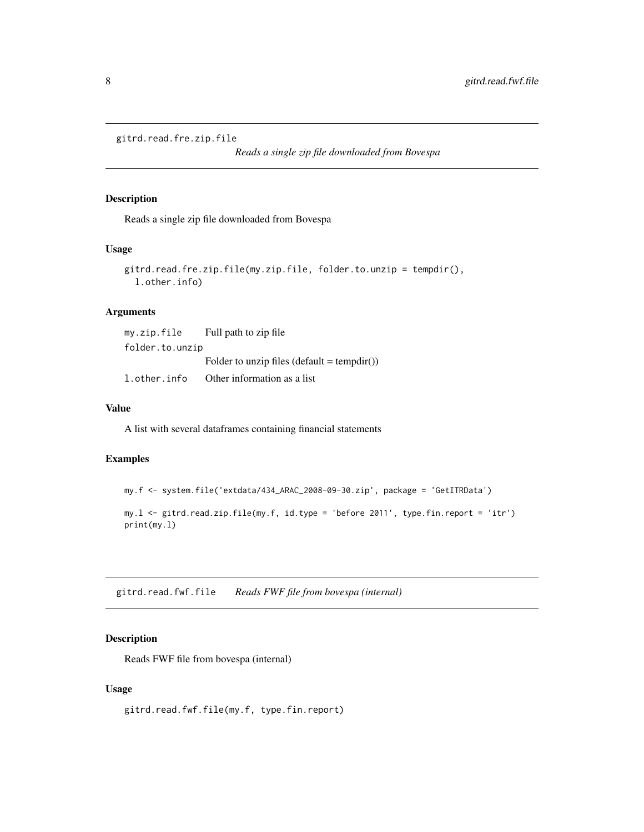```
gitrd.read.fre.zip.file
```
*Reads a single zip file downloaded from Bovespa*

#### Description

Reads a single zip file downloaded from Bovespa

#### Usage

```
gitrd.read.fre.zip.file(my.zip.file, folder.to.unzip = tempdir(),
  l.other.info)
```
#### Arguments

| my.zip.file     | Full path to zip file                       |
|-----------------|---------------------------------------------|
| folder.to.unzip |                                             |
|                 | Folder to unzip files (default = tempdir()) |
| l.other.info    | Other information as a list                 |

#### Value

A list with several dataframes containing financial statements

#### Examples

```
my.f <- system.file('extdata/434_ARAC_2008-09-30.zip', package = 'GetITRData')
```

```
my.l <- gitrd.read.zip.file(my.f, id.type = 'before 2011', type.fin.report = 'itr')
print(my.l)
```
gitrd.read.fwf.file *Reads FWF file from bovespa (internal)*

#### Description

Reads FWF file from bovespa (internal)

#### Usage

gitrd.read.fwf.file(my.f, type.fin.report)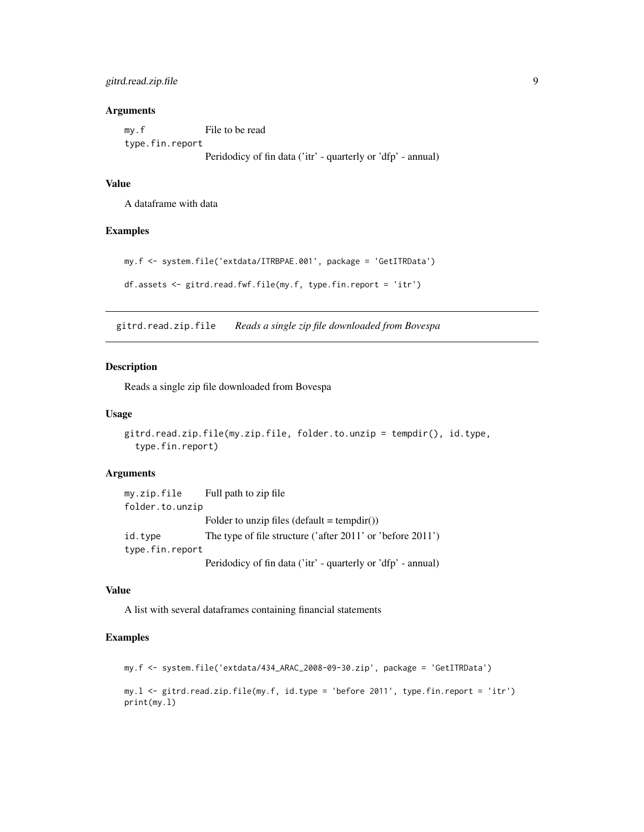#### <span id="page-8-0"></span>gitrd.read.zip.file 9

#### Arguments

| my.f            | File to be read                                              |
|-----------------|--------------------------------------------------------------|
| type.fin.report |                                                              |
|                 | Peridodicy of fin data ('itr' - quarterly or 'dfp' - annual) |

#### Value

A dataframe with data

#### Examples

```
my.f <- system.file('extdata/ITRBPAE.001', package = 'GetITRData')
df.assets <- gitrd.read.fwf.file(my.f, type.fin.report = 'itr')
```
gitrd.read.zip.file *Reads a single zip file downloaded from Bovespa*

#### Description

Reads a single zip file downloaded from Bovespa

#### Usage

```
gitrd.read.zip.file(my.zip.file, folder.to.unzip = tempdir(), id.type,
  type.fin.report)
```
#### Arguments

```
my.zip.file Full path to zip file
folder.to.unzip
                 Folder to unzip files (detault = tempdir())id.type The type of file structure ('after 2011' or 'before 2011')
type.fin.report
                 Peridodicy of fin data ('itr' - quarterly or 'dfp' - annual)
```
#### Value

A list with several dataframes containing financial statements

#### Examples

```
my.f <- system.file('extdata/434_ARAC_2008-09-30.zip', package = 'GetITRData')
my.l <- gitrd.read.zip.file(my.f, id.type = 'before 2011', type.fin.report = 'itr')
print(my.l)
```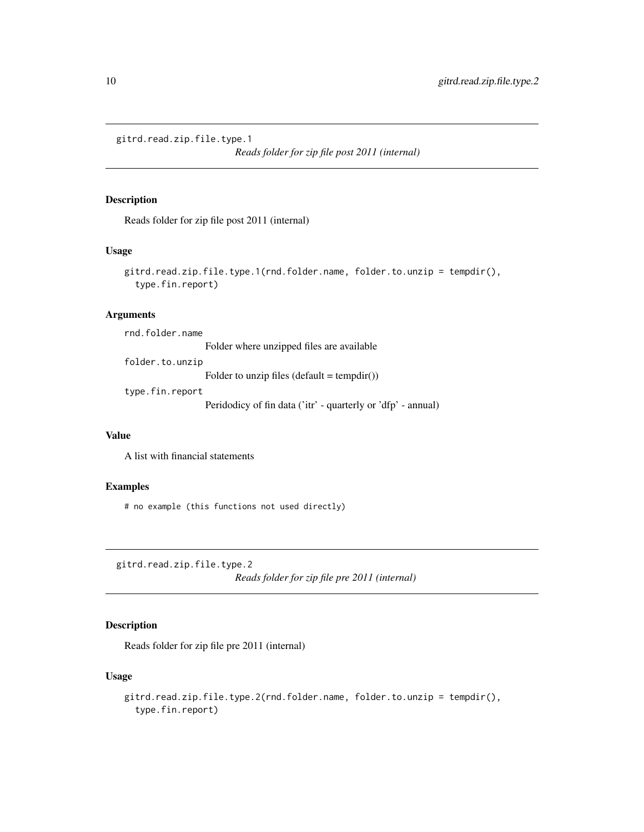<span id="page-9-0"></span>gitrd.read.zip.file.type.1

*Reads folder for zip file post 2011 (internal)*

#### Description

Reads folder for zip file post 2011 (internal)

#### Usage

```
gitrd.read.zip.file.type.1(rnd.folder.name, folder.to.unzip = tempdir(),
  type.fin.report)
```
#### Arguments

rnd.folder.name

Folder where unzipped files are available

folder.to.unzip

Folder to unzip files  $(detault = tempdir())$ 

type.fin.report

Peridodicy of fin data ('itr' - quarterly or 'dfp' - annual)

#### Value

A list with financial statements

#### Examples

# no example (this functions not used directly)

gitrd.read.zip.file.type.2

*Reads folder for zip file pre 2011 (internal)*

#### Description

Reads folder for zip file pre 2011 (internal)

#### Usage

```
gitrd.read.zip.file.type.2(rnd.folder.name, folder.to.unzip = tempdir(),
  type.fin.report)
```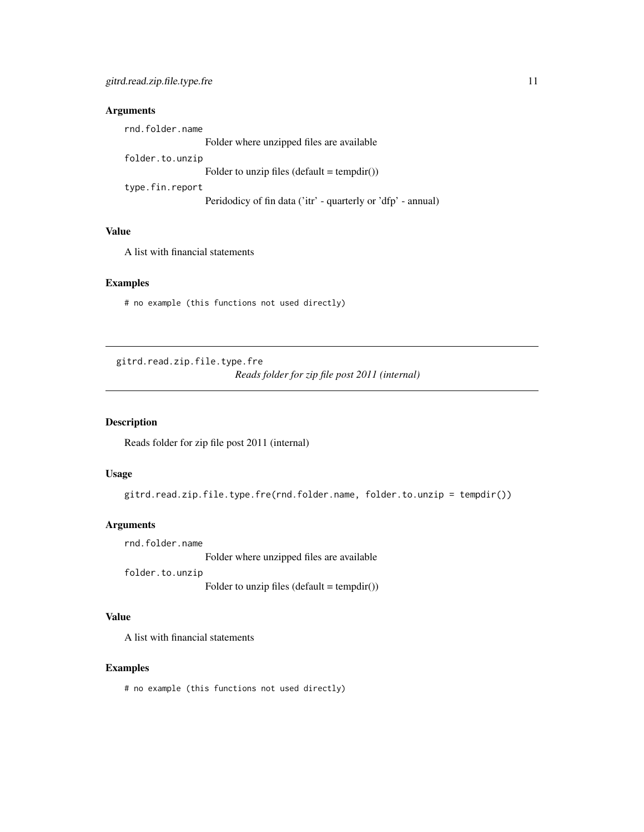#### <span id="page-10-0"></span>Arguments

rnd.folder.name Folder where unzipped files are available folder.to.unzip Folder to unzip files  $(detault = tempdir())$ type.fin.report Peridodicy of fin data ('itr' - quarterly or 'dfp' - annual)

### Value

A list with financial statements

#### Examples

# no example (this functions not used directly)

gitrd.read.zip.file.type.fre *Reads folder for zip file post 2011 (internal)*

#### Description

Reads folder for zip file post 2011 (internal)

#### Usage

gitrd.read.zip.file.type.fre(rnd.folder.name, folder.to.unzip = tempdir())

#### Arguments

rnd.folder.name

Folder where unzipped files are available

folder.to.unzip

Folder to unzip files  $(detault = tempdir())$ 

#### Value

A list with financial statements

#### Examples

# no example (this functions not used directly)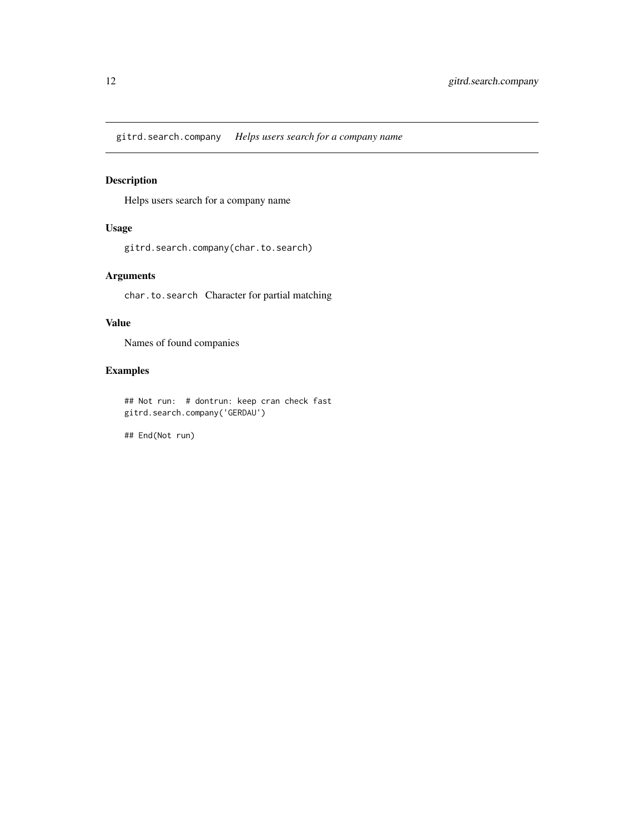<span id="page-11-0"></span>gitrd.search.company *Helps users search for a company name*

#### Description

Helps users search for a company name

#### Usage

gitrd.search.company(char.to.search)

#### Arguments

char.to.search Character for partial matching

#### Value

Names of found companies

#### Examples

## Not run: # dontrun: keep cran check fast gitrd.search.company('GERDAU')

## End(Not run)